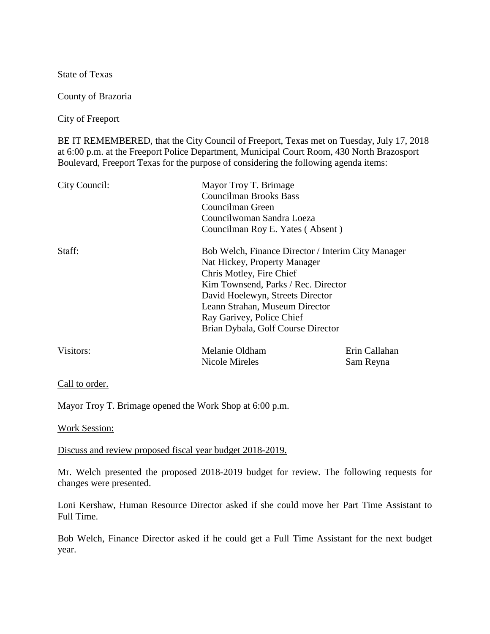State of Texas

County of Brazoria

City of Freeport

BE IT REMEMBERED, that the City Council of Freeport, Texas met on Tuesday, July 17, 2018 at 6:00 p.m. at the Freeport Police Department, Municipal Court Room, 430 North Brazosport Boulevard, Freeport Texas for the purpose of considering the following agenda items:

| City Council: | Mayor Troy T. Brimage<br><b>Councilman Brooks Bass</b><br>Councilman Green<br>Councilwoman Sandra Loeza<br>Councilman Roy E. Yates (Absent)                                                                                                                                                    |                            |
|---------------|------------------------------------------------------------------------------------------------------------------------------------------------------------------------------------------------------------------------------------------------------------------------------------------------|----------------------------|
| Staff:        | Bob Welch, Finance Director / Interim City Manager<br>Nat Hickey, Property Manager<br>Chris Motley, Fire Chief<br>Kim Townsend, Parks / Rec. Director<br>David Hoelewyn, Streets Director<br>Leann Strahan, Museum Director<br>Ray Garivey, Police Chief<br>Brian Dybala, Golf Course Director |                            |
| Visitors:     | Melanie Oldham<br>Nicole Mireles                                                                                                                                                                                                                                                               | Erin Callahan<br>Sam Reyna |

Call to order.

Mayor Troy T. Brimage opened the Work Shop at 6:00 p.m.

Work Session:

Discuss and review proposed fiscal year budget 2018-2019.

Mr. Welch presented the proposed 2018-2019 budget for review. The following requests for changes were presented.

Loni Kershaw, Human Resource Director asked if she could move her Part Time Assistant to Full Time.

Bob Welch, Finance Director asked if he could get a Full Time Assistant for the next budget year.